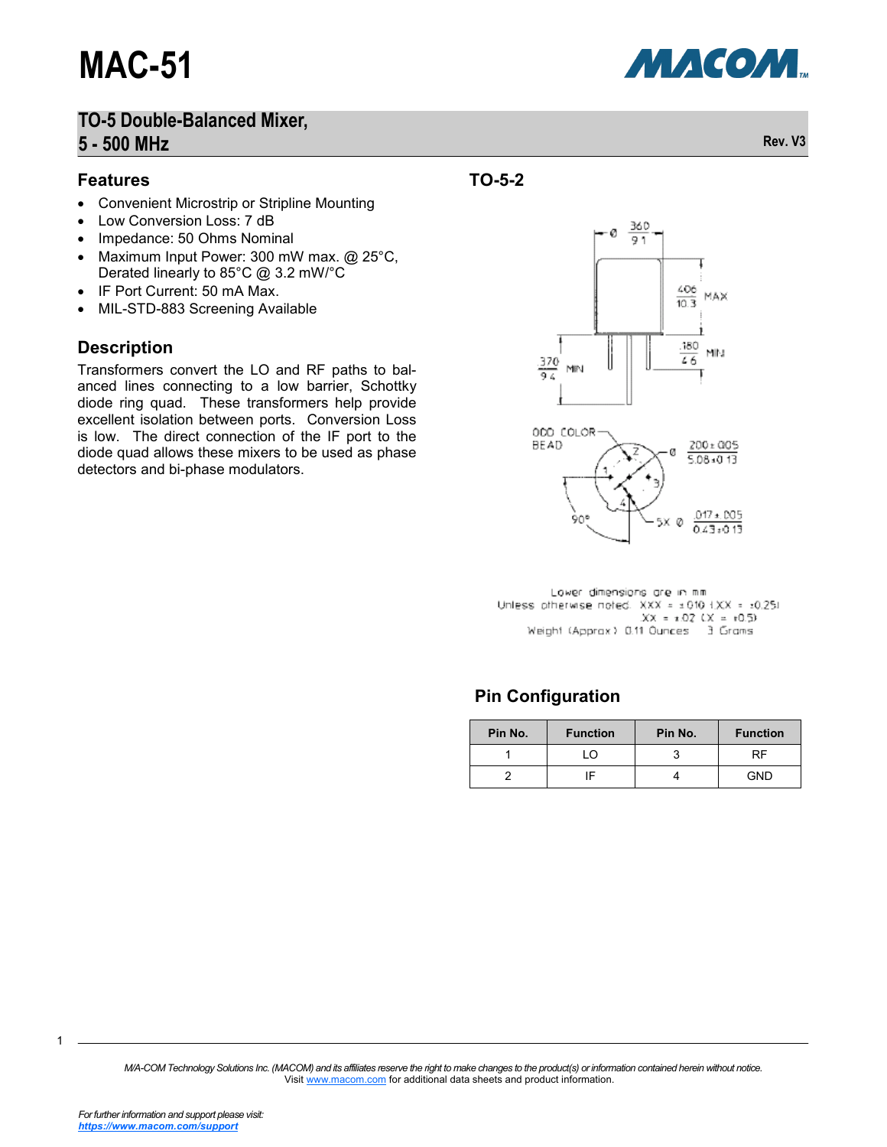

#### **Features**

- Convenient Microstrip or Stripline Mounting
- Low Conversion Loss: 7 dB
- Impedance: 50 Ohms Nominal
- Maximum Input Power: 300 mW max. @ 25°C, Derated linearly to 85°C @ 3.2 mW/°C
- IF Port Current: 50 mA Max.
- MIL-STD-883 Screening Available

#### **Description**

Transformers convert the LO and RF paths to balanced lines connecting to a low barrier, Schottky diode ring quad. These transformers help provide excellent isolation between ports. Conversion Loss is low. The direct connection of the IF port to the diode quad allows these mixers to be used as phase detectors and bi-phase modulators.





Lower dimensions are in mm Unless otherwise noted. XXX = ±010 f.XX = ±0.251  $XX = \pm .02$   $XX = \pm 0.5$ Weight (Apprax) 0.11 Ounces 3 Grams

## **Pin Configuration**

| Pin No. | <b>Function</b> | Pin No. | <b>Function</b> |
|---------|-----------------|---------|-----------------|
|         | l ()            | ◠       | RF              |
|         |                 |         | GND             |

*M/A-COM Technology Solutions Inc. (MACOM) and its affiliates reserve the right to make changes to the product(s) or information contained herein without notice.*  Visit [www.macom.com](http://www.macom.com/) for additional data sheets and product information.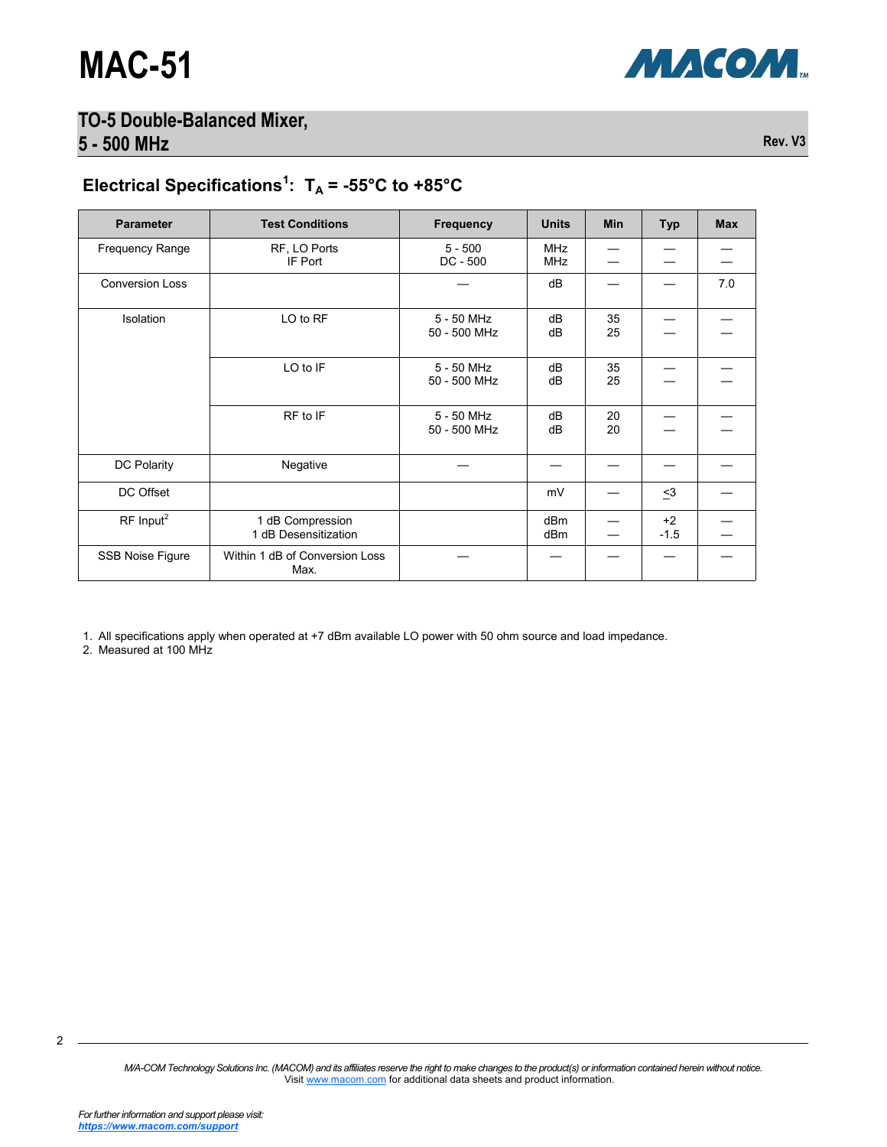

# Electrical Specifications<sup>1</sup>:  $T_A = -55^{\circ}C$  to  $+85^{\circ}C$

| <b>Parameter</b>        | <b>Test Conditions</b>                   | <b>Frequency</b>           | <b>Units</b>             | Min      | <b>Typ</b>     | <b>Max</b> |
|-------------------------|------------------------------------------|----------------------------|--------------------------|----------|----------------|------------|
| <b>Frequency Range</b>  | RF, LO Ports<br>IF Port                  | $5 - 500$<br>$DC - 500$    | <b>MHz</b><br><b>MHz</b> |          |                |            |
| <b>Conversion Loss</b>  |                                          |                            | dB                       |          |                | 7.0        |
| <b>Isolation</b>        | LO to RF                                 | 5 - 50 MHz<br>50 - 500 MHz | dB<br>dB                 | 35<br>25 |                |            |
|                         | LO to IF                                 | 5 - 50 MHz<br>50 - 500 MHz | dB<br>dB                 | 35<br>25 |                |            |
|                         | RF to IF                                 | 5 - 50 MHz<br>50 - 500 MHz | dB<br>dB                 | 20<br>20 |                |            |
| DC Polarity             | Negative                                 |                            |                          |          |                |            |
| DC Offset               |                                          |                            | mV                       |          | $\leq$ 3       |            |
| $RF$ Input <sup>2</sup> | 1 dB Compression<br>1 dB Desensitization |                            | dB <sub>m</sub><br>dBm   |          | $+2$<br>$-1.5$ |            |
| SSB Noise Figure        | Within 1 dB of Conversion Loss<br>Max.   |                            |                          |          |                |            |

1. All specifications apply when operated at +7 dBm available LO power with 50 ohm source and load impedance.

2. Measured at 100 MHz

*M/A-COM Technology Solutions Inc. (MACOM) and its affiliates reserve the right to make changes to the product(s) or information contained herein without notice.*  Visit [www.macom.com](http://www.macom.com/) for additional data sheets and product information.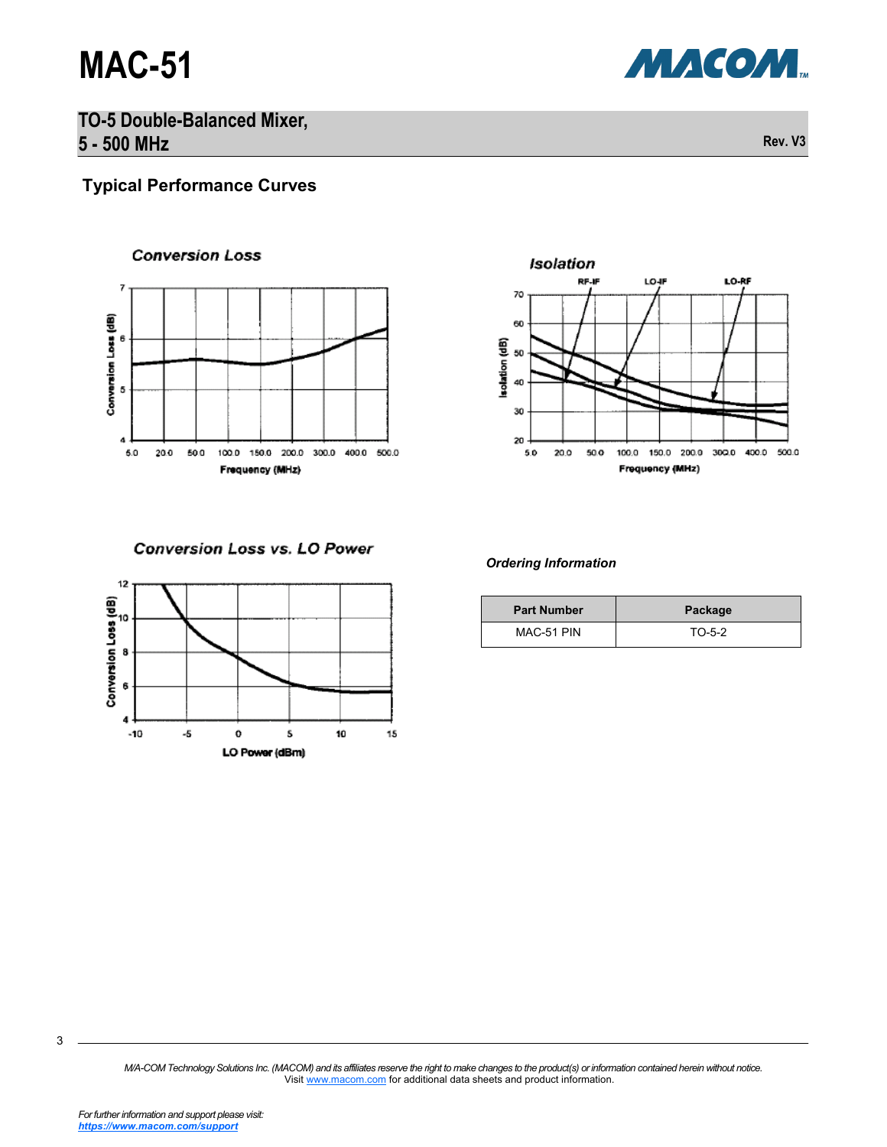

# **Typical Performance Curves**

**Conversion Loss** 

## $\overline{\phantom{a}}$ Conversion Loss (dB) 6 5 4 100.0 150.0 200.0 300.0 400.0 500.0 5.0 20.0 50.0 Frequency (MHz)



**Conversion Loss vs. LO Power** 



#### *Ordering Information*

| <b>Part Number</b> | Package  |
|--------------------|----------|
| MAC-51 PIN         | $TO-5-2$ |

*M/A-COM Technology Solutions Inc. (MACOM) and its affiliates reserve the right to make changes to the product(s) or information contained herein without notice.*  Visit [www.macom.com](http://www.macom.com/) for additional data sheets and product information.